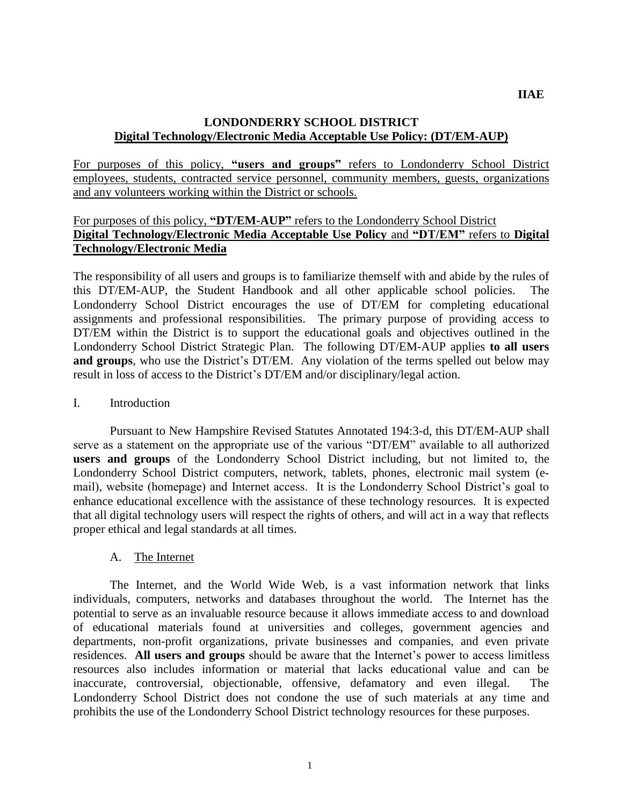### **LONDONDERRY SCHOOL DISTRICT Digital Technology/Electronic Media Acceptable Use Policy: (DT/EM-AUP)**

For purposes of this policy, **"users and groups"** refers to Londonderry School District employees, students, contracted service personnel, community members, guests, organizations and any volunteers working within the District or schools.

# For purposes of this policy, **"DT/EM-AUP"** refers to the Londonderry School District **Digital Technology/Electronic Media Acceptable Use Policy** and **"DT/EM"** refers to **Digital Technology/Electronic Media**

The responsibility of all users and groups is to familiarize themself with and abide by the rules of this DT/EM-AUP, the Student Handbook and all other applicable school policies. The Londonderry School District encourages the use of DT/EM for completing educational assignments and professional responsibilities. The primary purpose of providing access to DT/EM within the District is to support the educational goals and objectives outlined in the Londonderry School District Strategic Plan. The following DT/EM-AUP applies **to all users**  and groups, who use the District's DT/EM. Any violation of the terms spelled out below may result in loss of access to the District's DT/EM and/or disciplinary/legal action.

### I. Introduction

Pursuant to New Hampshire Revised Statutes Annotated 194:3-d, this DT/EM-AUP shall serve as a statement on the appropriate use of the various "DT/EM" available to all authorized **users and groups** of the Londonderry School District including, but not limited to, the Londonderry School District computers, network, tablets, phones, electronic mail system (email), website (homepage) and Internet access. It is the Londonderry School District's goal to enhance educational excellence with the assistance of these technology resources. It is expected that all digital technology users will respect the rights of others, and will act in a way that reflects proper ethical and legal standards at all times.

### A. The Internet

The Internet, and the World Wide Web, is a vast information network that links individuals, computers, networks and databases throughout the world. The Internet has the potential to serve as an invaluable resource because it allows immediate access to and download of educational materials found at universities and colleges, government agencies and departments, non-profit organizations, private businesses and companies, and even private residences. **All users and groups** should be aware that the Internet's power to access limitless resources also includes information or material that lacks educational value and can be inaccurate, controversial, objectionable, offensive, defamatory and even illegal. The Londonderry School District does not condone the use of such materials at any time and prohibits the use of the Londonderry School District technology resources for these purposes.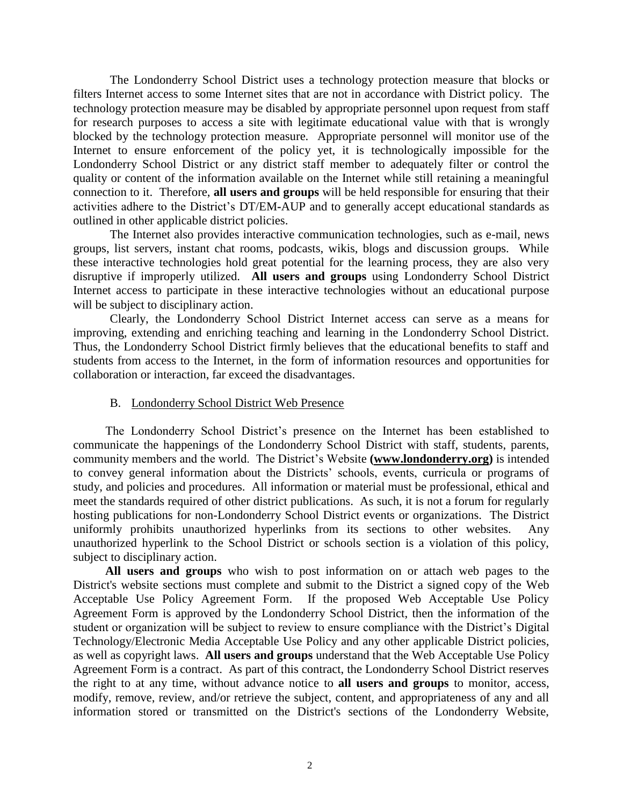The Londonderry School District uses a technology protection measure that blocks or filters Internet access to some Internet sites that are not in accordance with District policy. The technology protection measure may be disabled by appropriate personnel upon request from staff for research purposes to access a site with legitimate educational value with that is wrongly blocked by the technology protection measure. Appropriate personnel will monitor use of the Internet to ensure enforcement of the policy yet, it is technologically impossible for the Londonderry School District or any district staff member to adequately filter or control the quality or content of the information available on the Internet while still retaining a meaningful connection to it. Therefore, **all users and groups** will be held responsible for ensuring that their activities adhere to the District's DT/EM**-**AUP and to generally accept educational standards as outlined in other applicable district policies.

The Internet also provides interactive communication technologies, such as e-mail, news groups, list servers, instant chat rooms, podcasts, wikis, blogs and discussion groups. While these interactive technologies hold great potential for the learning process, they are also very disruptive if improperly utilized. **All users and groups** using Londonderry School District Internet access to participate in these interactive technologies without an educational purpose will be subject to disciplinary action.

Clearly, the Londonderry School District Internet access can serve as a means for improving, extending and enriching teaching and learning in the Londonderry School District. Thus, the Londonderry School District firmly believes that the educational benefits to staff and students from access to the Internet, in the form of information resources and opportunities for collaboration or interaction, far exceed the disadvantages.

#### B. Londonderry School District Web Presence

The Londonderry School District's presence on the Internet has been established to communicate the happenings of the Londonderry School District with staff, students, parents, community members and the world. The District's Website **[\(www.londonderry.org\)](http://www.londonderry.org/)** is intended to convey general information about the Districts' schools, events, curricula or programs of study, and policies and procedures. All information or material must be professional, ethical and meet the standards required of other district publications. As such, it is not a forum for regularly hosting publications for non-Londonderry School District events or organizations. The District uniformly prohibits unauthorized hyperlinks from its sections to other websites. Any unauthorized hyperlink to the School District or schools section is a violation of this policy, subject to disciplinary action.

**All users and groups** who wish to post information on or attach web pages to the District's website sections must complete and submit to the District a signed copy of the Web Acceptable Use Policy Agreement Form. If the proposed Web Acceptable Use Policy Agreement Form is approved by the Londonderry School District, then the information of the student or organization will be subject to review to ensure compliance with the District's Digital Technology/Electronic Media Acceptable Use Policy and any other applicable District policies, as well as copyright laws. **All users and groups** understand that the Web Acceptable Use Policy Agreement Form is a contract. As part of this contract, the Londonderry School District reserves the right to at any time, without advance notice to **all users and groups** to monitor, access, modify, remove, review, and/or retrieve the subject, content, and appropriateness of any and all information stored or transmitted on the District's sections of the Londonderry Website,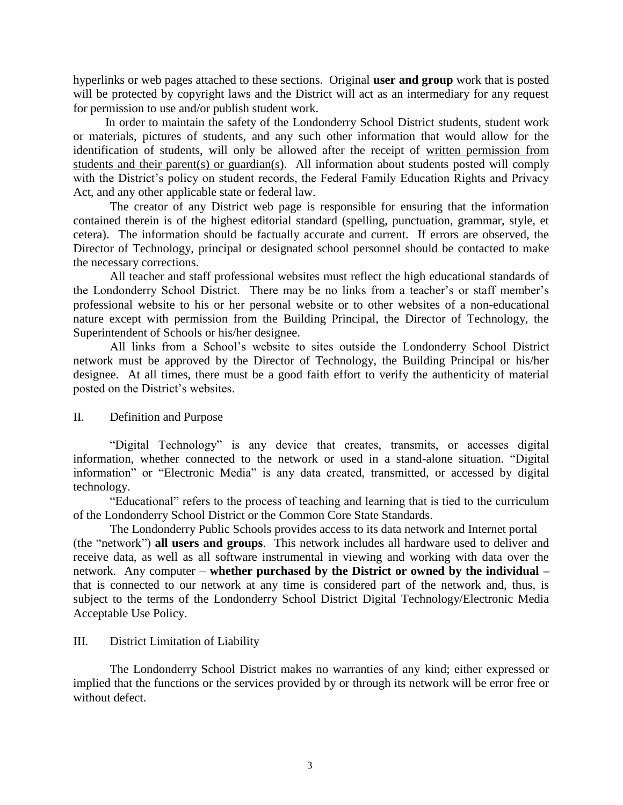hyperlinks or web pages attached to these sections. Original **user and group** work that is posted will be protected by copyright laws and the District will act as an intermediary for any request for permission to use and/or publish student work.

In order to maintain the safety of the Londonderry School District students, student work or materials, pictures of students, and any such other information that would allow for the identification of students, will only be allowed after the receipt of written permission from students and their parent(s) or guardian(s). All information about students posted will comply with the District's policy on student records, the Federal Family Education Rights and Privacy Act, and any other applicable state or federal law.

The creator of any District web page is responsible for ensuring that the information contained therein is of the highest editorial standard (spelling, punctuation, grammar, style, et cetera). The information should be factually accurate and current. If errors are observed, the Director of Technology, principal or designated school personnel should be contacted to make the necessary corrections.

All teacher and staff professional websites must reflect the high educational standards of the Londonderry School District. There may be no links from a teacher's or staff member's professional website to his or her personal website or to other websites of a non-educational nature except with permission from the Building Principal, the Director of Technology, the Superintendent of Schools or his/her designee.

All links from a School's website to sites outside the Londonderry School District network must be approved by the Director of Technology, the Building Principal or his/her designee. At all times, there must be a good faith effort to verify the authenticity of material posted on the District's websites.

II. Definition and Purpose

"Digital Technology" is any device that creates, transmits, or accesses digital information, whether connected to the network or used in a stand-alone situation. "Digital information" or "Electronic Media" is any data created, transmitted, or accessed by digital technology.

"Educational" refers to the process of teaching and learning that is tied to the curriculum of the Londonderry School District or the Common Core State Standards.

The Londonderry Public Schools provides access to its data network and Internet portal (the "network") **all users and groups**. This network includes all hardware used to deliver and receive data, as well as all software instrumental in viewing and working with data over the network. Any computer – **whether purchased by the District or owned by the individual –** that is connected to our network at any time is considered part of the network and, thus, is subject to the terms of the Londonderry School District Digital Technology/Electronic Media Acceptable Use Policy.

### III. District Limitation of Liability

The Londonderry School District makes no warranties of any kind; either expressed or implied that the functions or the services provided by or through its network will be error free or without defect.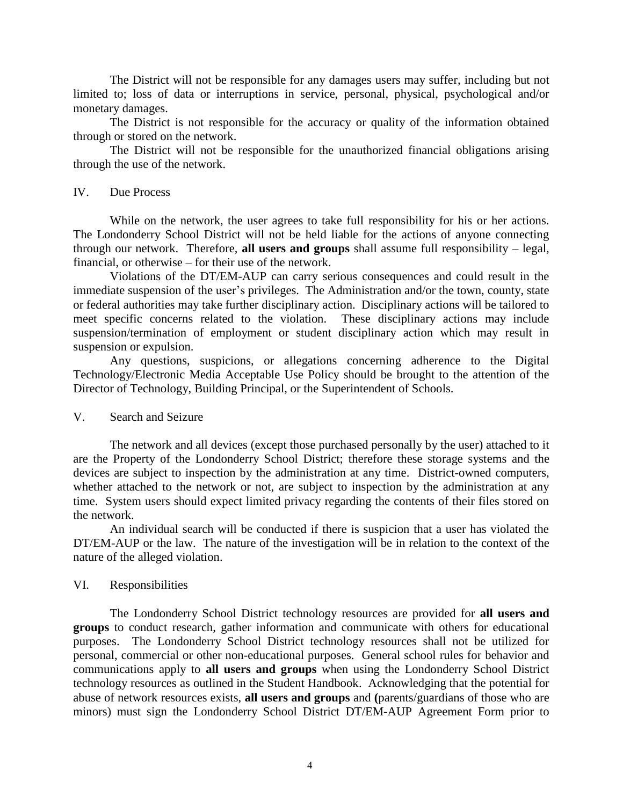The District will not be responsible for any damages users may suffer, including but not limited to; loss of data or interruptions in service, personal, physical, psychological and/or monetary damages.

The District is not responsible for the accuracy or quality of the information obtained through or stored on the network.

The District will not be responsible for the unauthorized financial obligations arising through the use of the network.

#### IV. Due Process

While on the network, the user agrees to take full responsibility for his or her actions. The Londonderry School District will not be held liable for the actions of anyone connecting through our network. Therefore, **all users and groups** shall assume full responsibility – legal, financial, or otherwise – for their use of the network.

Violations of the DT/EM-AUP can carry serious consequences and could result in the immediate suspension of the user's privileges. The Administration and/or the town, county, state or federal authorities may take further disciplinary action. Disciplinary actions will be tailored to meet specific concerns related to the violation. These disciplinary actions may include suspension/termination of employment or student disciplinary action which may result in suspension or expulsion.

Any questions, suspicions, or allegations concerning adherence to the Digital Technology/Electronic Media Acceptable Use Policy should be brought to the attention of the Director of Technology, Building Principal, or the Superintendent of Schools.

### V. Search and Seizure

The network and all devices (except those purchased personally by the user) attached to it are the Property of the Londonderry School District; therefore these storage systems and the devices are subject to inspection by the administration at any time. District-owned computers, whether attached to the network or not, are subject to inspection by the administration at any time. System users should expect limited privacy regarding the contents of their files stored on the network.

An individual search will be conducted if there is suspicion that a user has violated the DT/EM-AUP or the law. The nature of the investigation will be in relation to the context of the nature of the alleged violation.

### VI. Responsibilities

The Londonderry School District technology resources are provided for **all users and groups** to conduct research, gather information and communicate with others for educational purposes. The Londonderry School District technology resources shall not be utilized for personal, commercial or other non-educational purposes. General school rules for behavior and communications apply to **all users and groups** when using the Londonderry School District technology resources as outlined in the Student Handbook. Acknowledging that the potential for abuse of network resources exists, **all users and groups** and **(**parents/guardians of those who are minors) must sign the Londonderry School District DT/EM-AUP Agreement Form prior to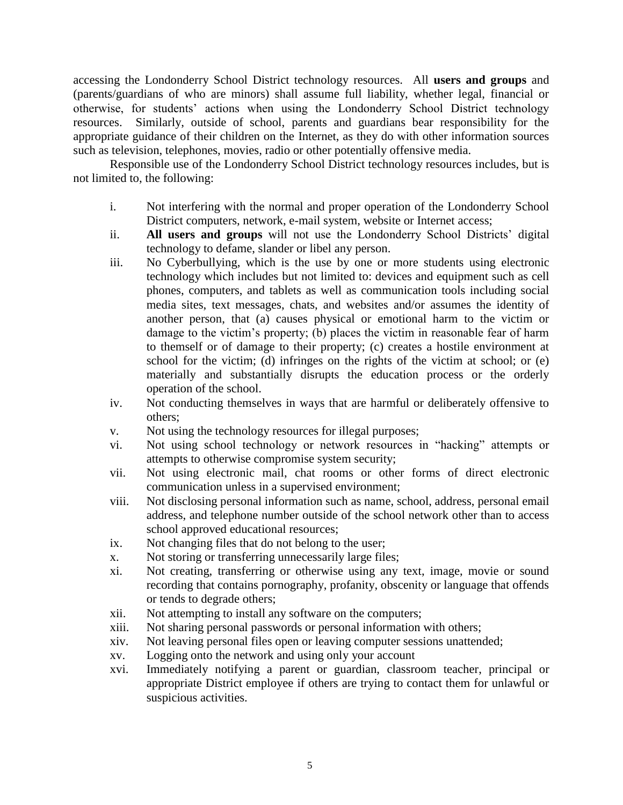accessing the Londonderry School District technology resources. All **users and groups** and (parents/guardians of who are minors) shall assume full liability, whether legal, financial or otherwise, for students' actions when using the Londonderry School District technology resources. Similarly, outside of school, parents and guardians bear responsibility for the appropriate guidance of their children on the Internet, as they do with other information sources such as television, telephones, movies, radio or other potentially offensive media.

Responsible use of the Londonderry School District technology resources includes, but is not limited to, the following:

- i. Not interfering with the normal and proper operation of the Londonderry School District computers, network, e-mail system, website or Internet access;
- ii. **All users and groups** will not use the Londonderry School Districts' digital technology to defame, slander or libel any person.
- iii. No Cyberbullying, which is the use by one or more students using electronic technology which includes but not limited to: devices and equipment such as cell phones, computers, and tablets as well as communication tools including social media sites, text messages, chats, and websites and/or assumes the identity of another person, that (a) causes physical or emotional harm to the victim or damage to the victim's property; (b) places the victim in reasonable fear of harm to themself or of damage to their property; (c) creates a hostile environment at school for the victim; (d) infringes on the rights of the victim at school; or (e) materially and substantially disrupts the education process or the orderly operation of the school.
- iv. Not conducting themselves in ways that are harmful or deliberately offensive to others;
- v. Not using the technology resources for illegal purposes;
- vi. Not using school technology or network resources in "hacking" attempts or attempts to otherwise compromise system security;
- vii. Not using electronic mail, chat rooms or other forms of direct electronic communication unless in a supervised environment;
- viii. Not disclosing personal information such as name, school, address, personal email address, and telephone number outside of the school network other than to access school approved educational resources;
- ix. Not changing files that do not belong to the user;
- x. Not storing or transferring unnecessarily large files;
- xi. Not creating, transferring or otherwise using any text, image, movie or sound recording that contains pornography, profanity, obscenity or language that offends or tends to degrade others;
- xii. Not attempting to install any software on the computers;
- xiii. Not sharing personal passwords or personal information with others;
- xiv. Not leaving personal files open or leaving computer sessions unattended;
- xv. Logging onto the network and using only your account
- xvi. Immediately notifying a parent or guardian, classroom teacher, principal or appropriate District employee if others are trying to contact them for unlawful or suspicious activities.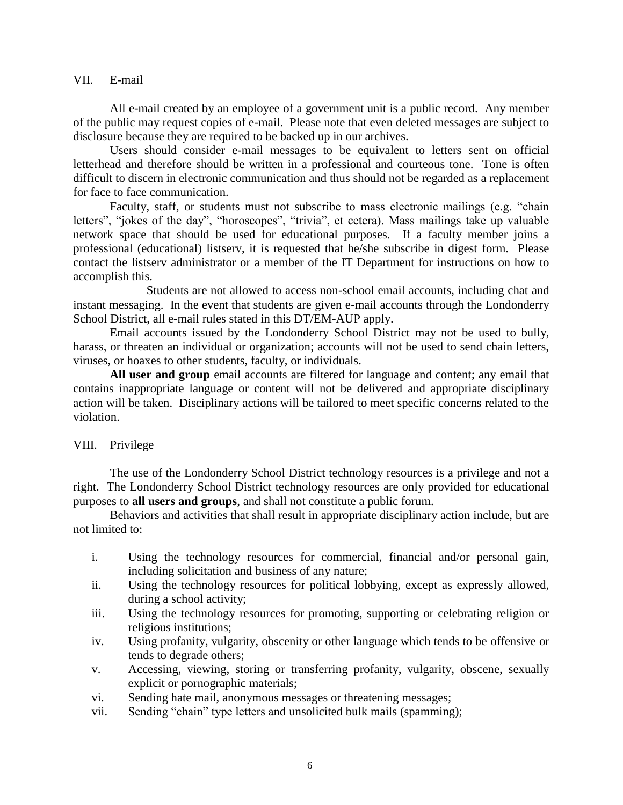#### VII. E-mail

All e-mail created by an employee of a government unit is a public record. Any member of the public may request copies of e-mail. Please note that even deleted messages are subject to disclosure because they are required to be backed up in our archives.

Users should consider e-mail messages to be equivalent to letters sent on official letterhead and therefore should be written in a professional and courteous tone. Tone is often difficult to discern in electronic communication and thus should not be regarded as a replacement for face to face communication.

Faculty, staff, or students must not subscribe to mass electronic mailings (e.g. "chain letters", "jokes of the day", "horoscopes", "trivia", et cetera). Mass mailings take up valuable network space that should be used for educational purposes. If a faculty member joins a professional (educational) listserv, it is requested that he/she subscribe in digest form. Please contact the listserv administrator or a member of the IT Department for instructions on how to accomplish this.

Students are not allowed to access non-school email accounts, including chat and instant messaging. In the event that students are given e-mail accounts through the Londonderry School District, all e-mail rules stated in this DT/EM-AUP apply.

Email accounts issued by the Londonderry School District may not be used to bully, harass, or threaten an individual or organization; accounts will not be used to send chain letters, viruses, or hoaxes to other students, faculty, or individuals.

**All user and group** email accounts are filtered for language and content; any email that contains inappropriate language or content will not be delivered and appropriate disciplinary action will be taken. Disciplinary actions will be tailored to meet specific concerns related to the violation.

### VIII. Privilege

The use of the Londonderry School District technology resources is a privilege and not a right. The Londonderry School District technology resources are only provided for educational purposes to **all users and groups**, and shall not constitute a public forum.

Behaviors and activities that shall result in appropriate disciplinary action include, but are not limited to:

- i. Using the technology resources for commercial, financial and/or personal gain, including solicitation and business of any nature;
- ii. Using the technology resources for political lobbying, except as expressly allowed, during a school activity;
- iii. Using the technology resources for promoting, supporting or celebrating religion or religious institutions;
- iv. Using profanity, vulgarity, obscenity or other language which tends to be offensive or tends to degrade others;
- v. Accessing, viewing, storing or transferring profanity, vulgarity, obscene, sexually explicit or pornographic materials;
- vi. Sending hate mail, anonymous messages or threatening messages;
- vii. Sending "chain" type letters and unsolicited bulk mails (spamming);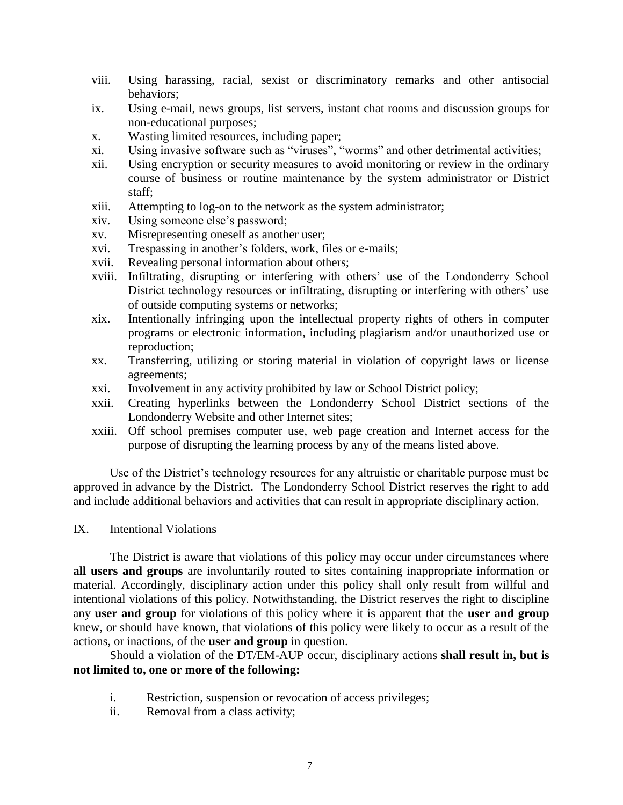- viii. Using harassing, racial, sexist or discriminatory remarks and other antisocial behaviors;
- ix. Using e-mail, news groups, list servers, instant chat rooms and discussion groups for non-educational purposes;
- x. Wasting limited resources, including paper;
- xi. Using invasive software such as "viruses", "worms" and other detrimental activities;
- xii. Using encryption or security measures to avoid monitoring or review in the ordinary course of business or routine maintenance by the system administrator or District staff;
- xiii. Attempting to log-on to the network as the system administrator;
- xiv. Using someone else's password;
- xv. Misrepresenting oneself as another user;
- xvi. Trespassing in another's folders, work, files or e-mails;
- xvii. Revealing personal information about others;
- xviii. Infiltrating, disrupting or interfering with others' use of the Londonderry School District technology resources or infiltrating, disrupting or interfering with others' use of outside computing systems or networks;
- xix. Intentionally infringing upon the intellectual property rights of others in computer programs or electronic information, including plagiarism and/or unauthorized use or reproduction;
- xx. Transferring, utilizing or storing material in violation of copyright laws or license agreements;
- xxi. Involvement in any activity prohibited by law or School District policy;
- xxii. Creating hyperlinks between the Londonderry School District sections of the Londonderry Website and other Internet sites;
- xxiii. Off school premises computer use, web page creation and Internet access for the purpose of disrupting the learning process by any of the means listed above.

Use of the District's technology resources for any altruistic or charitable purpose must be approved in advance by the District. The Londonderry School District reserves the right to add and include additional behaviors and activities that can result in appropriate disciplinary action.

IX. Intentional Violations

The District is aware that violations of this policy may occur under circumstances where **all users and groups** are involuntarily routed to sites containing inappropriate information or material. Accordingly, disciplinary action under this policy shall only result from willful and intentional violations of this policy. Notwithstanding, the District reserves the right to discipline any **user and group** for violations of this policy where it is apparent that the **user and group** knew, or should have known, that violations of this policy were likely to occur as a result of the actions, or inactions, of the **user and group** in question.

Should a violation of the DT/EM-AUP occur, disciplinary actions **shall result in, but is not limited to, one or more of the following:**

- i. Restriction, suspension or revocation of access privileges;
- ii. Removal from a class activity;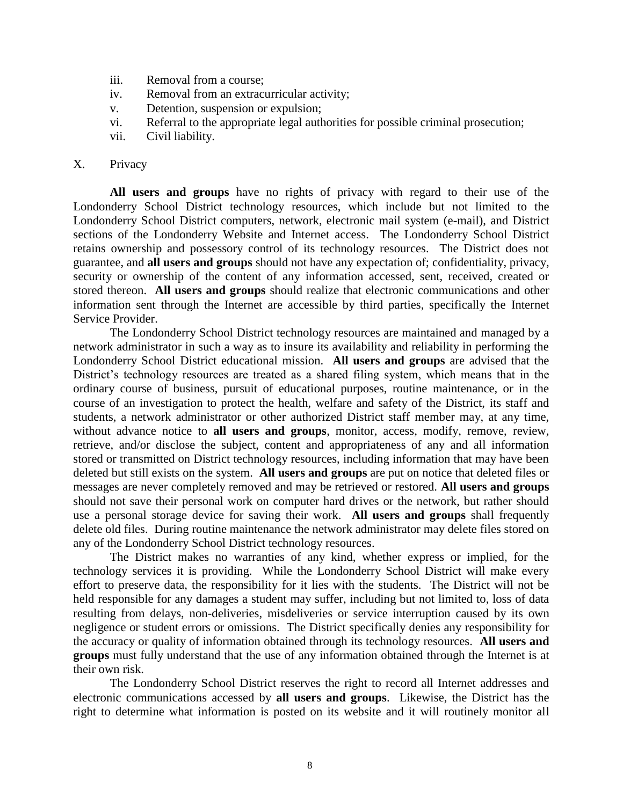- iii. Removal from a course;
- iv. Removal from an extracurricular activity;
- v. Detention, suspension or expulsion;
- vi. Referral to the appropriate legal authorities for possible criminal prosecution;
- vii. Civil liability.

#### X. Privacy

**All users and groups** have no rights of privacy with regard to their use of the Londonderry School District technology resources, which include but not limited to the Londonderry School District computers, network, electronic mail system (e-mail), and District sections of the Londonderry Website and Internet access. The Londonderry School District retains ownership and possessory control of its technology resources. The District does not guarantee, and **all users and groups** should not have any expectation of; confidentiality, privacy, security or ownership of the content of any information accessed, sent, received, created or stored thereon. **All users and groups** should realize that electronic communications and other information sent through the Internet are accessible by third parties, specifically the Internet Service Provider.

The Londonderry School District technology resources are maintained and managed by a network administrator in such a way as to insure its availability and reliability in performing the Londonderry School District educational mission. **All users and groups** are advised that the District's technology resources are treated as a shared filing system, which means that in the ordinary course of business, pursuit of educational purposes, routine maintenance, or in the course of an investigation to protect the health, welfare and safety of the District, its staff and students, a network administrator or other authorized District staff member may, at any time, without advance notice to **all users and groups**, monitor, access, modify, remove, review, retrieve, and/or disclose the subject, content and appropriateness of any and all information stored or transmitted on District technology resources, including information that may have been deleted but still exists on the system. **All users and groups** are put on notice that deleted files or messages are never completely removed and may be retrieved or restored. **All users and groups** should not save their personal work on computer hard drives or the network, but rather should use a personal storage device for saving their work. **All users and groups** shall frequently delete old files. During routine maintenance the network administrator may delete files stored on any of the Londonderry School District technology resources.

The District makes no warranties of any kind, whether express or implied, for the technology services it is providing. While the Londonderry School District will make every effort to preserve data, the responsibility for it lies with the students. The District will not be held responsible for any damages a student may suffer, including but not limited to, loss of data resulting from delays, non-deliveries, misdeliveries or service interruption caused by its own negligence or student errors or omissions. The District specifically denies any responsibility for the accuracy or quality of information obtained through its technology resources. **All users and groups** must fully understand that the use of any information obtained through the Internet is at their own risk.

The Londonderry School District reserves the right to record all Internet addresses and electronic communications accessed by **all users and groups**. Likewise, the District has the right to determine what information is posted on its website and it will routinely monitor all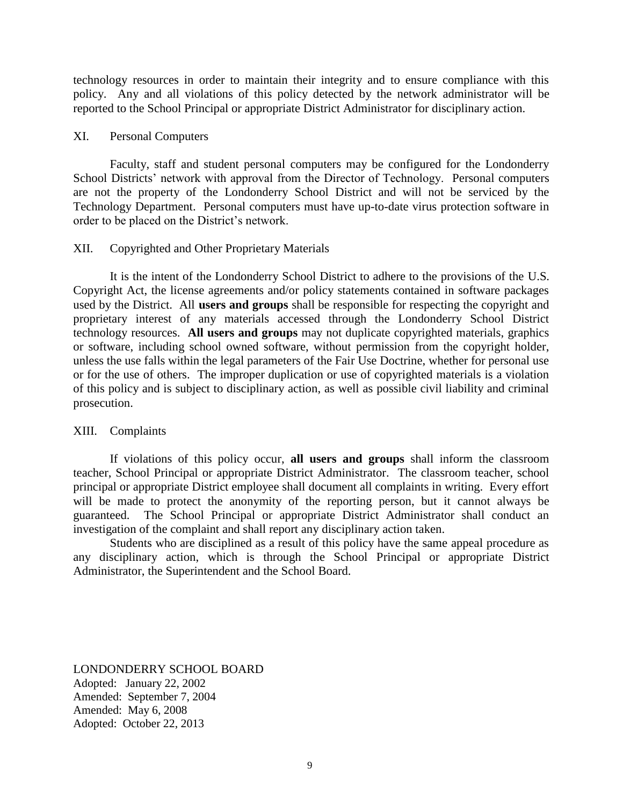technology resources in order to maintain their integrity and to ensure compliance with this policy. Any and all violations of this policy detected by the network administrator will be reported to the School Principal or appropriate District Administrator for disciplinary action.

#### XI. Personal Computers

Faculty, staff and student personal computers may be configured for the Londonderry School Districts' network with approval from the Director of Technology. Personal computers are not the property of the Londonderry School District and will not be serviced by the Technology Department. Personal computers must have up-to-date virus protection software in order to be placed on the District's network.

#### XII. Copyrighted and Other Proprietary Materials

It is the intent of the Londonderry School District to adhere to the provisions of the U.S. Copyright Act, the license agreements and/or policy statements contained in software packages used by the District. All **users and groups** shall be responsible for respecting the copyright and proprietary interest of any materials accessed through the Londonderry School District technology resources. **All users and groups** may not duplicate copyrighted materials, graphics or software, including school owned software, without permission from the copyright holder, unless the use falls within the legal parameters of the Fair Use Doctrine, whether for personal use or for the use of others. The improper duplication or use of copyrighted materials is a violation of this policy and is subject to disciplinary action, as well as possible civil liability and criminal prosecution.

#### XIII. Complaints

If violations of this policy occur, **all users and groups** shall inform the classroom teacher, School Principal or appropriate District Administrator. The classroom teacher, school principal or appropriate District employee shall document all complaints in writing. Every effort will be made to protect the anonymity of the reporting person, but it cannot always be guaranteed. The School Principal or appropriate District Administrator shall conduct an investigation of the complaint and shall report any disciplinary action taken.

Students who are disciplined as a result of this policy have the same appeal procedure as any disciplinary action, which is through the School Principal or appropriate District Administrator, the Superintendent and the School Board.

LONDONDERRY SCHOOL BOARD Adopted: January 22, 2002 Amended: September 7, 2004 Amended: May 6, 2008 Adopted: October 22, 2013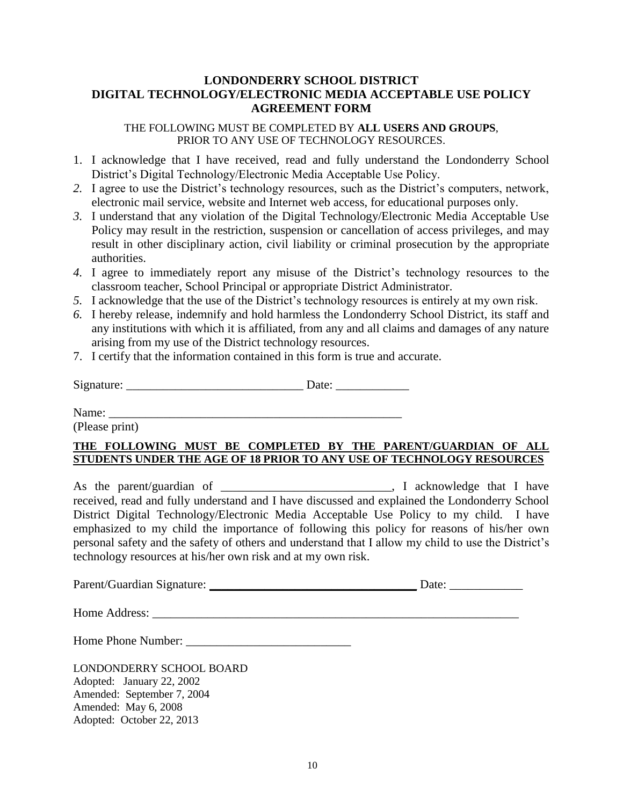## **LONDONDERRY SCHOOL DISTRICT DIGITAL TECHNOLOGY/ELECTRONIC MEDIA ACCEPTABLE USE POLICY AGREEMENT FORM**

THE FOLLOWING MUST BE COMPLETED BY **ALL USERS AND GROUPS**, PRIOR TO ANY USE OF TECHNOLOGY RESOURCES.

- 1. I acknowledge that I have received, read and fully understand the Londonderry School District's Digital Technology/Electronic Media Acceptable Use Policy.
- *2.* I agree to use the District's technology resources, such as the District's computers, network, electronic mail service, website and Internet web access, for educational purposes only.
- *3.* I understand that any violation of the Digital Technology/Electronic Media Acceptable Use Policy may result in the restriction, suspension or cancellation of access privileges, and may result in other disciplinary action, civil liability or criminal prosecution by the appropriate authorities.
- *4.* I agree to immediately report any misuse of the District's technology resources to the classroom teacher, School Principal or appropriate District Administrator.
- *5.* I acknowledge that the use of the District's technology resources is entirely at my own risk.
- *6.* I hereby release, indemnify and hold harmless the Londonderry School District, its staff and any institutions with which it is affiliated, from any and all claims and damages of any nature arising from my use of the District technology resources.
- 7. I certify that the information contained in this form is true and accurate.

Signature: \_\_\_\_\_\_\_\_\_\_\_\_\_\_\_\_\_\_\_\_\_\_\_\_\_\_\_\_\_ Date: \_\_\_\_\_\_\_\_\_\_\_\_

Name: \_\_\_\_\_\_\_\_\_\_\_\_\_\_\_\_\_\_\_\_\_\_\_\_\_\_\_\_\_\_\_\_\_\_\_\_\_\_\_\_\_\_\_\_\_\_\_\_

(Please print)

### **THE FOLLOWING MUST BE COMPLETED BY THE PARENT/GUARDIAN OF ALL STUDENTS UNDER THE AGE OF 18 PRIOR TO ANY USE OF TECHNOLOGY RESOURCES**

As the parent/guardian of \_\_\_\_\_\_\_\_\_\_\_\_\_\_\_\_\_\_\_\_\_\_\_\_, I acknowledge that I have received, read and fully understand and I have discussed and explained the Londonderry School District Digital Technology/Electronic Media Acceptable Use Policy to my child. I have emphasized to my child the importance of following this policy for reasons of his/her own personal safety and the safety of others and understand that I allow my child to use the District's technology resources at his/her own risk and at my own risk.

| Parent/Guardian Signature: |  | Jate |
|----------------------------|--|------|
|----------------------------|--|------|

Home Address: \_\_\_\_\_\_\_\_\_\_\_\_\_\_\_\_\_\_\_\_\_\_\_\_\_\_\_\_\_\_\_\_\_\_\_\_\_\_\_\_\_\_\_\_\_\_\_\_\_\_\_\_\_\_\_\_\_\_\_\_

Home Phone Number: \_\_\_\_\_\_\_\_\_\_\_\_\_\_\_\_\_\_\_\_\_\_\_\_\_\_\_

LONDONDERRY SCHOOL BOARD Adopted: January 22, 2002 Amended: September 7, 2004 Amended: May 6, 2008 Adopted: October 22, 2013